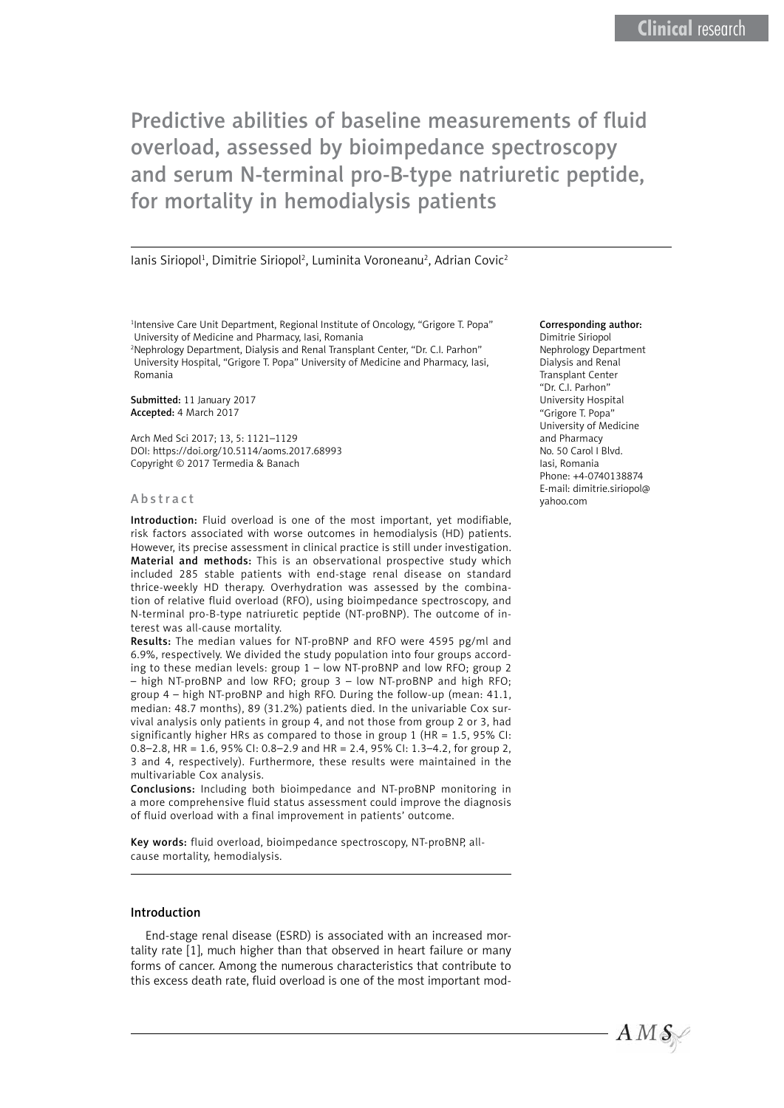#### Ianis Siriopol<sup>1</sup>, Dimitrie Siriopol<sup>2</sup>, Luminita Voroneanu<sup>2</sup>, Adrian Covic<sup>2</sup>

<sup>1</sup>Intensive Care Unit Department, Regional Institute of Oncology, "Grigore T. Popa" University of Medicine and Pharmacy, Iasi, Romania

2 Nephrology Department, Dialysis and Renal Transplant Center, "Dr. C.I. Parhon" University Hospital, "Grigore T. Popa" University of Medicine and Pharmacy, Iasi, Romania

Submitted: 11 January 2017 Accepted: 4 March 2017

Arch Med Sci 2017; 13, 5: 1121–1129 DOI: https://doi.org/10.5114/aoms.2017.68993 Copyright © 2017 Termedia & Banach

#### Abstract

Introduction: Fluid overload is one of the most important, yet modifiable, risk factors associated with worse outcomes in hemodialysis (HD) patients. However, its precise assessment in clinical practice is still under investigation. Material and methods: This is an observational prospective study which included 285 stable patients with end-stage renal disease on standard thrice-weekly HD therapy. Overhydration was assessed by the combination of relative fluid overload (RFO), using bioimpedance spectroscopy, and N-terminal pro-B-type natriuretic peptide (NT-proBNP). The outcome of interest was all-cause mortality.

Results: The median values for NT-proBNP and RFO were 4595 pg/ml and 6.9%, respectively. We divided the study population into four groups according to these median levels: group 1 – low NT-proBNP and low RFO; group 2 – high NT-proBNP and low RFO; group 3 – low NT-proBNP and high RFO; group 4 – high NT-proBNP and high RFO. During the follow-up (mean: 41.1, median: 48.7 months), 89 (31.2%) patients died. In the univariable Cox survival analysis only patients in group 4, and not those from group 2 or 3, had significantly higher HRs as compared to those in group 1 (HR = 1.5, 95% CI: 0.8–2.8, HR = 1.6, 95% CI: 0.8–2.9 and HR = 2.4, 95% CI: 1.3–4.2, for group 2, 3 and 4, respectively). Furthermore, these results were maintained in the multivariable Cox analysis.

Conclusions: Including both bioimpedance and NT-proBNP monitoring in a more comprehensive fluid status assessment could improve the diagnosis of fluid overload with a final improvement in patients' outcome.

Key words: fluid overload, bioimpedance spectroscopy, NT-proBNP, allcause mortality, hemodialysis.

## Introduction

End-stage renal disease (ESRD) is associated with an increased mortality rate [1], much higher than that observed in heart failure or many forms of cancer. Among the numerous characteristics that contribute to this excess death rate, fluid overload is one of the most important mod-

#### Corresponding author:

Dimitrie Siriopol Nephrology Department Dialysis and Renal Transplant Center "Dr. C.I. Parhon" University Hospital "Grigore T. Popa" University of Medicine and Pharmacy No. 50 Carol I Blvd. Iasi, Romania Phone: +4-0740138874 E-mail: [dimitrie.siriopol@](mailto:dimitrie.siriopol@yahoo.com) [yahoo.com](mailto:dimitrie.siriopol@yahoo.com)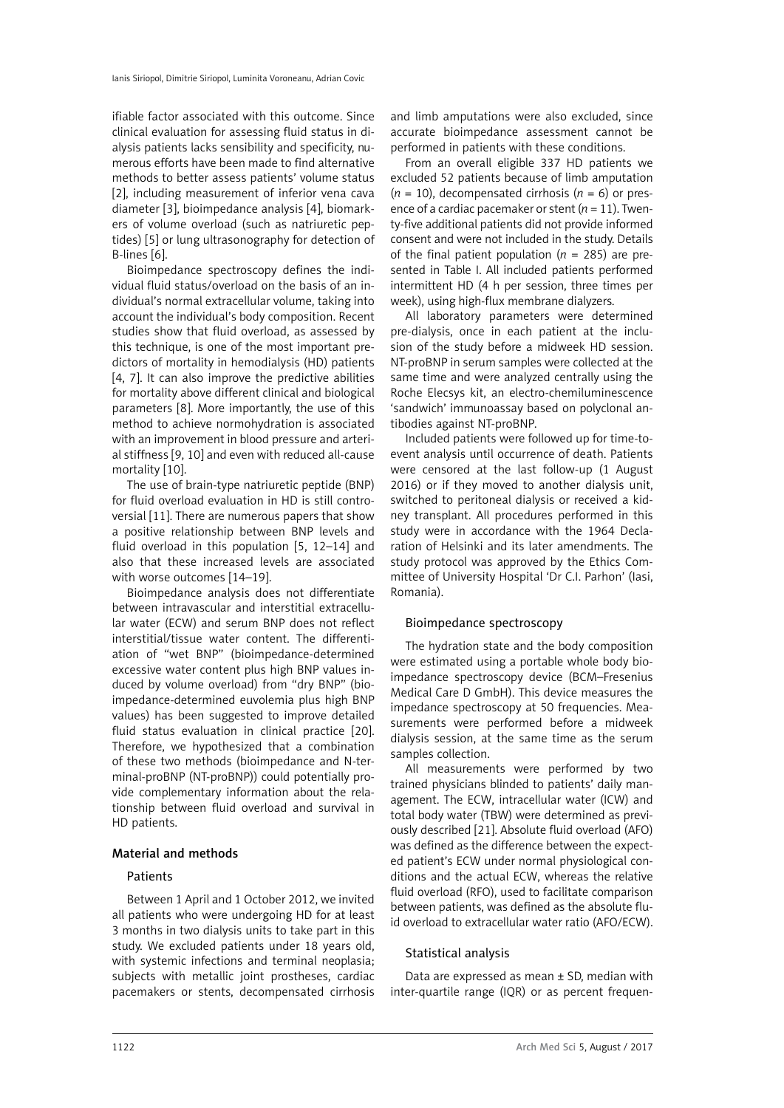ifiable factor associated with this outcome. Since clinical evaluation for assessing fluid status in dialysis patients lacks sensibility and specificity, numerous efforts have been made to find alternative methods to better assess patients' volume status [2], including measurement of inferior vena cava diameter [3], bioimpedance analysis [4], biomarkers of volume overload (such as natriuretic peptides) [5] or lung ultrasonography for detection of B-lines [6].

Bioimpedance spectroscopy defines the individual fluid status/overload on the basis of an individual's normal extracellular volume, taking into account the individual's body composition. Recent studies show that fluid overload, as assessed by this technique, is one of the most important predictors of mortality in hemodialysis (HD) patients [4, 7]. It can also improve the predictive abilities for mortality above different clinical and biological parameters [8]. More importantly, the use of this method to achieve normohydration is associated with an improvement in blood pressure and arterial stiffness [9, 10] and even with reduced all-cause mortality [10].

The use of brain-type natriuretic peptide (BNP) for fluid overload evaluation in HD is still controversial [11]. There are numerous papers that show a positive relationship between BNP levels and fluid overload in this population [5, 12–14] and also that these increased levels are associated with worse outcomes [14–19].

Bioimpedance analysis does not differentiate between intravascular and interstitial extracellular water (ECW) and serum BNP does not reflect interstitial/tissue water content. The differentiation of "wet BNP" (bioimpedance-determined excessive water content plus high BNP values induced by volume overload) from "dry BNP" (bioimpedance-determined euvolemia plus high BNP values) has been suggested to improve detailed fluid status evaluation in clinical practice [20]. Therefore, we hypothesized that a combination of these two methods (bioimpedance and N-terminal-proBNP (NT-proBNP)) could potentially provide complementary information about the relationship between fluid overload and survival in HD patients.

## Material and methods

## **Patients**

Between 1 April and 1 October 2012, we invited all patients who were undergoing HD for at least 3 months in two dialysis units to take part in this study. We excluded patients under 18 years old, with systemic infections and terminal neoplasia; subjects with metallic joint prostheses, cardiac pacemakers or stents, decompensated cirrhosis

and limb amputations were also excluded, since accurate bioimpedance assessment cannot be performed in patients with these conditions.

From an overall eligible 337 HD patients we excluded 52 patients because of limb amputation  $(n = 10)$ , decompensated cirrhosis  $(n = 6)$  or presence of a cardiac pacemaker or stent (*n* = 11). Twenty-five additional patients did not provide informed consent and were not included in the study. Details of the final patient population  $(n = 285)$  are presented in Table I. All included patients performed intermittent HD (4 h per session, three times per week), using high-flux membrane dialyzers.

All laboratory parameters were determined pre-dialysis, once in each patient at the inclusion of the study before a midweek HD session. NT-proBNP in serum samples were collected at the same time and were analyzed centrally using the Roche Elecsys kit, an electro-chemiluminescence 'sandwich' immunoassay based on polyclonal antibodies against NT-proBNP.

Included patients were followed up for time-toevent analysis until occurrence of death. Patients were censored at the last follow-up (1 August 2016) or if they moved to another dialysis unit, switched to peritoneal dialysis or received a kidney transplant. All procedures performed in this study were in accordance with the 1964 Declaration of Helsinki and its later amendments. The study protocol was approved by the Ethics Committee of University Hospital 'Dr C.I. Parhon' (Iasi, Romania).

## Bioimpedance spectroscopy

The hydration state and the body composition were estimated using a portable whole body bioimpedance spectroscopy device (BCM–Fresenius Medical Care D GmbH). This device measures the impedance spectroscopy at 50 frequencies. Measurements were performed before a midweek dialysis session, at the same time as the serum samples collection.

All measurements were performed by two trained physicians blinded to patients' daily management. The ECW, intracellular water (ICW) and total body water (TBW) were determined as previously described [21]. Absolute fluid overload (AFO) was defined as the difference between the expected patient's ECW under normal physiological conditions and the actual ECW, whereas the relative fluid overload (RFO), used to facilitate comparison between patients, was defined as the absolute fluid overload to extracellular water ratio (AFO/ECW).

## Statistical analysis

Data are expressed as mean ± SD, median with inter-quartile range (IQR) or as percent frequen-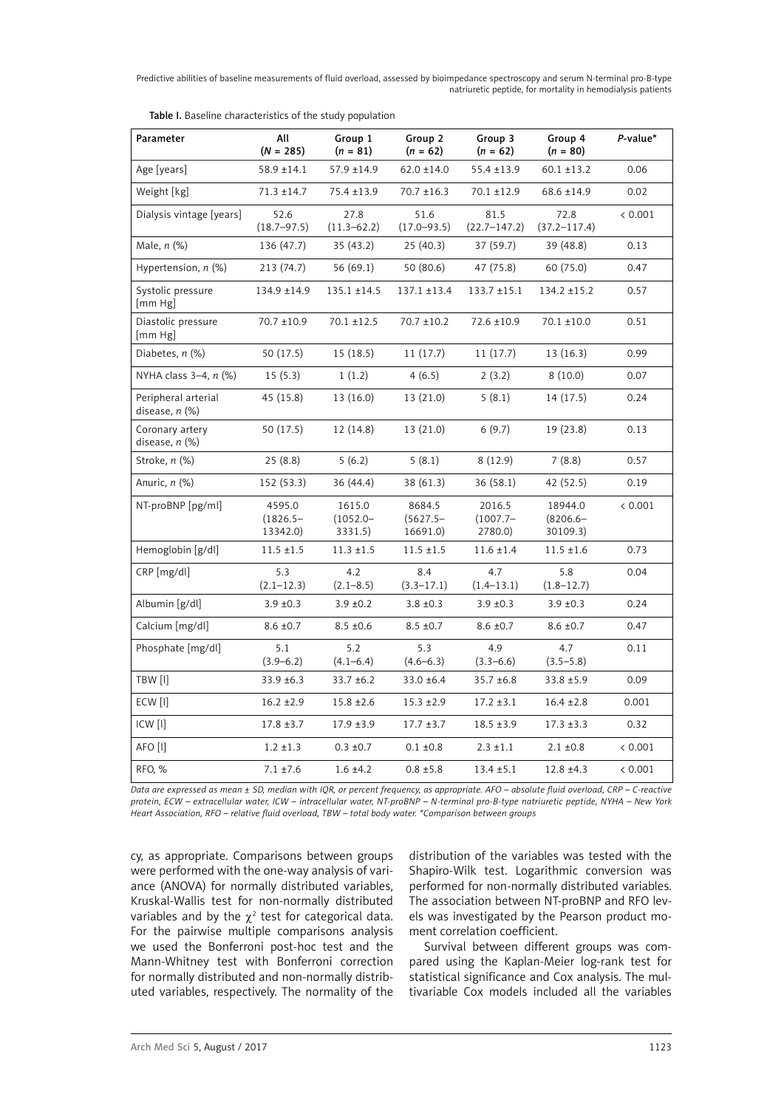| Parameter                                  | All<br>$(N = 285)$                | Group 1<br>$(n = 81)$            | Group 2<br>$(n = 62)$             | Group 3<br>$(n = 62)$            | Group 4<br>$(n = 80)$              | $P$ -value* |
|--------------------------------------------|-----------------------------------|----------------------------------|-----------------------------------|----------------------------------|------------------------------------|-------------|
| Age [years]                                | $58.9 \pm 14.1$                   | $57.9 \pm 14.9$                  | $62.0 \pm 14.0$                   | $55.4 \pm 13.9$                  | $60.1 \pm 13.2$                    | 0.06        |
| Weight [kg]                                | $71.3 \pm 14.7$                   | $75.4 \pm 13.9$                  | $70.7 \pm 16.3$                   | $70.1 \pm 12.9$                  | $68.6 \pm 14.9$                    | 0.02        |
| Dialysis vintage [years]                   | 52.6<br>$(18.7 - 97.5)$           | 27.8<br>$(11.3 - 62.2)$          | 51.6<br>$(17.0 - 93.5)$           | 81.5<br>$(22.7 - 147.2)$         | 72.8<br>$(37.2 - 117.4)$           | < 0.001     |
| Male, n (%)                                | 136 (47.7)                        | 35 (43.2)                        | 25(40.3)                          | 37 (59.7)                        | 39 (48.8)                          | 0.13        |
| Hypertension, $n$ (%)                      | 213 (74.7)                        | 56 (69.1)                        | 50 (80.6)                         | 47 (75.8)                        | 60 (75.0)                          | 0.47        |
| Systolic pressure<br>[mm Hg]               | 134.9 ±14.9                       | $135.1 \pm 14.5$                 | $137.1 \pm 13.4$                  | $133.7 \pm 15.1$                 | $134.2 \pm 15.2$                   | 0.57        |
| Diastolic pressure<br>[mm Hg]              | $70.7 \pm 10.9$                   | $70.1 \pm 12.5$                  | $70.7 \pm 10.2$                   | $72.6 \pm 10.9$                  | $70.1 \pm 10.0$                    | 0.51        |
| Diabetes, $n$ $%$                          | 50(17.5)                          | 15(18.5)                         | 11(17.7)                          | 11(17.7)                         | 13(16.3)                           | 0.99        |
| NYHA class $3-4$ , $n$ (%)                 | 15(5.3)                           | 1(1.2)                           | 4(6.5)                            | 2(3.2)                           | 8(10.0)                            | 0.07        |
| Peripheral arterial<br>disease, $n$ $(\%)$ | 45 (15.8)                         | 13(16.0)                         | 13 (21.0)                         | 5(8.1)                           | 14(17.5)                           | 0.24        |
| Coronary artery<br>disease, $n$ $(\%)$     | 50 (17.5)                         | 12 (14.8)                        | 13 (21.0)                         | 6(9.7)                           | 19 (23.8)                          | 0.13        |
| Stroke, n (%)                              | 25(8.8)                           | 5(6.2)                           | 5(8.1)                            | 8(12.9)                          | 7(8.8)                             | 0.57        |
| Anuric, n (%)                              | 152 (53.3)                        | 36 (44.4)                        | 38 (61.3)                         | 36(58.1)                         | 42 (52.5)                          | 0.19        |
| NT-proBNP [pg/ml]                          | 4595.0<br>$(1826.5 -$<br>13342.0) | 1615.0<br>$(1052.0 -$<br>3331.5) | 8684.5<br>$(5627.5 -$<br>16691.0) | 2016.5<br>$(1007.7 -$<br>2780.0) | 18944.0<br>$(8206.6 -$<br>30109.3) | < 0.001     |
| Hemoglobin [g/dl]                          | $11.5 \pm 1.5$                    | $11.3 \pm 1.5$                   | $11.5 \pm 1.5$                    | $11.6 \pm 1.4$                   | $11.5 \pm 1.6$                     | 0.73        |
| CRP [mg/dl]                                | 5.3<br>$(2.1 - 12.3)$             | 4.2<br>$(2.1 - 8.5)$             | 8.4<br>$(3.3 - 17.1)$             | 4.7<br>$(1.4 - 13.1)$            | 5.8<br>$(1.8 - 12.7)$              | 0.04        |
| Albumin [g/dl]                             | $3.9 \pm 0.3$                     | $3.9 \pm 0.2$                    | $3.8 \pm 0.3$                     | $3.9 \pm 0.3$                    | $3.9 \pm 0.3$                      | 0.24        |
| Calcium [mg/dl]                            | $8.6 \pm 0.7$                     | $8.5 \pm 0.6$                    | $8.5 \pm 0.7$                     | $8.6 \pm 0.7$                    | $8.6 \pm 0.7$                      | 0.47        |
| Phosphate [mg/dl]                          | 5.1<br>$(3.9 - 6.2)$              | 5.2<br>$(4.1 - 6.4)$             | 5.3<br>$(4.6 - 6.3)$              | 4.9<br>$(3.3 - 6.6)$             | 4.7<br>$(3.5 - 5.8)$               | 0.11        |
| TBW [l]                                    | $33.9 \pm 6.3$                    | $33.7 + 6.2$                     | $33.0 \pm 6.4$                    | $35.7 \pm 6.8$                   | $33.8 + 5.9$                       | 0.09        |
| ECW [l]                                    | $16.2 \pm 2.9$                    | $15.8 \pm 2.6$                   | $15.3 \pm 2.9$                    | $17.2 \pm 3.1$                   | $16.4 \pm 2.8$                     | 0.001       |
| ICW [l]                                    | $17.8 \pm 3.7$                    | $17.9 \pm 3.9$                   | $17.7 + 3.7$                      | $18.5 \pm 3.9$                   | $17.3 + 3.3$                       | 0.32        |
| AFO [l]                                    | $1.2 \pm 1.3$                     | $0.3 \pm 0.7$                    | $0.1 \pm 0.8$                     | $2.3 \pm 1.1$                    | $2.1 \pm 0.8$                      | < 0.001     |
| <b>RFO, %</b>                              | $7.1 \pm 7.6$                     | $1.6 \pm 4.2$                    | $0.8 \pm 5.8$                     | $13.4 \pm 5.1$                   | $12.8 + 4.3$                       | < 0.001     |

Table I. Baseline characteristics of the study population

*Data are expressed as mean ± SD, median with IQR, or percent frequency, as appropriate. AFO – absolute fluid overload, CRP – C-reactive protein, ECW – extracellular water, ICW – intracellular water, NT-proBNP – N-terminal pro-B-type natriuretic peptide, NYHA – New York Heart Association, RFO – relative fluid overload, TBW – total body water. \*Comparison between groups*

cy, as appropriate. Comparisons between groups were performed with the one-way analysis of variance (ANOVA) for normally distributed variables, Kruskal-Wallis test for non-normally distributed variables and by the  $\chi^2$  test for categorical data. For the pairwise multiple comparisons analysis we used the Bonferroni post-hoc test and the Mann-Whitney test with Bonferroni correction for normally distributed and non-normally distributed variables, respectively. The normality of the

distribution of the variables was tested with the Shapiro-Wilk test. Logarithmic conversion was performed for non-normally distributed variables. The association between NT-proBNP and RFO levels was investigated by the Pearson product moment correlation coefficient.

Survival between different groups was compared using the Kaplan-Meier log-rank test for statistical significance and Cox analysis. The multivariable Cox models included all the variables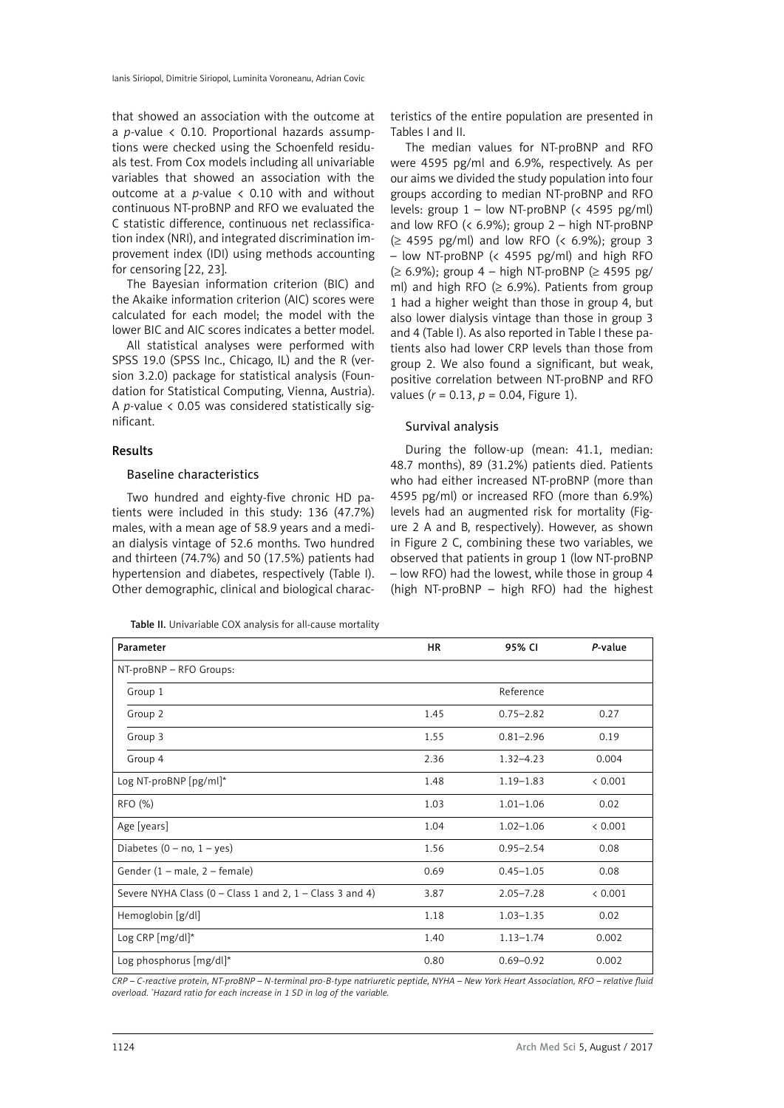that showed an association with the outcome at a *p*-value < 0.10. Proportional hazards assumptions were checked using the Schoenfeld residuals test. From Cox models including all univariable variables that showed an association with the outcome at a *p*-value < 0.10 with and without continuous NT-proBNP and RFO we evaluated the C statistic difference, continuous net reclassification index (NRI), and integrated discrimination improvement index (IDI) using methods accounting for censoring [22, 23].

The Bayesian information criterion (BIC) and the Akaike information criterion (AIC) scores were calculated for each model; the model with the lower BIC and AIC scores indicates a better model.

All statistical analyses were performed with SPSS 19.0 (SPSS Inc., Chicago, IL) and the R (version 3.2.0) package for statistical analysis (Foundation for Statistical Computing, Vienna, Austria). A *p*-value < 0.05 was considered statistically significant.

#### Results

#### Baseline characteristics

Two hundred and eighty-five chronic HD patients were included in this study: 136 (47.7%) males, with a mean age of 58.9 years and a median dialysis vintage of 52.6 months. Two hundred and thirteen (74.7%) and 50 (17.5%) patients had hypertension and diabetes, respectively (Table I). Other demographic, clinical and biological characteristics of the entire population are presented in Tables I and II.

The median values for NT-proBNP and RFO were 4595 pg/ml and 6.9%, respectively. As per our aims we divided the study population into four groups according to median NT-proBNP and RFO levels: group 1 – low NT-proBNP (< 4595 pg/ml) and low RFO  $(6.9\%)$ ; group 2 – high NT-proBNP (≥ 4595 pg/ml) and low RFO (< 6.9%); group 3 – low NT-proBNP (< 4595 pg/ml) and high RFO  $(\geq 6.9\%)$ ; group 4 – high NT-proBNP ( $\geq 4595$  pg/ ml) and high RFO ( $\geq 6.9\%$ ). Patients from group 1 had a higher weight than those in group 4, but also lower dialysis vintage than those in group 3 and 4 (Table I). As also reported in Table I these patients also had lower CRP levels than those from group 2. We also found a significant, but weak, positive correlation between NT-proBNP and RFO values (*r* = 0.13, *p* = 0.04, Figure 1).

#### Survival analysis

During the follow-up (mean: 41.1, median: 48.7 months), 89 (31.2%) patients died. Patients who had either increased NT-proBNP (more than 4595 pg/ml) or increased RFO (more than 6.9%) levels had an augmented risk for mortality (Figure 2 A and B, respectively). However, as shown in Figure 2 C, combining these two variables, we observed that patients in group 1 (low NT-proBNP – low RFO) had the lowest, while those in group 4 (high NT-proBNP – high RFO) had the highest

Table II. Univariable COX analysis for all-cause mortality

| Parameter                                                     | <b>HR</b> | 95% CI        | P-value |
|---------------------------------------------------------------|-----------|---------------|---------|
| NT-proBNP - RFO Groups:                                       |           |               |         |
| Group 1                                                       |           | Reference     |         |
| Group 2                                                       | 1.45      | $0.75 - 2.82$ | 0.27    |
| Group 3                                                       | 1.55      | $0.81 - 2.96$ | 0.19    |
| Group 4                                                       | 2.36      | $1.32 - 4.23$ | 0.004   |
| Log NT-proBNP [pg/ml]*                                        | 1.48      | $1.19 - 1.83$ | & 0.001 |
| RFO (%)                                                       | 1.03      | $1.01 - 1.06$ | 0.02    |
| Age [years]                                                   | 1.04      | $1.02 - 1.06$ | & 0.001 |
| Diabetes $(0 - no, 1 - yes)$                                  | 1.56      | $0.95 - 2.54$ | 0.08    |
| Gender $(1 - male, 2 - female)$                               | 0.69      | $0.45 - 1.05$ | 0.08    |
| Severe NYHA Class ( $0 - Class 1$ and 2, $1 - Class 3$ and 4) | 3.87      | $2.05 - 7.28$ | < 0.001 |
| Hemoglobin [g/dl]                                             | 1.18      | $1.03 - 1.35$ | 0.02    |
| Log CRP $[mg/dl]^*$                                           | 1.40      | $1.13 - 1.74$ | 0.002   |
| Log phosphorus [mg/dl]*                                       | 0.80      | $0.69 - 0.92$ | 0.002   |

*CRP – C-reactive protein, NT-proBNP – N-terminal pro-B-type natriuretic peptide, NYHA – New York Heart Association, RFO – relative fluid overload. \* Hazard ratio for each increase in 1 SD in log of the variable.*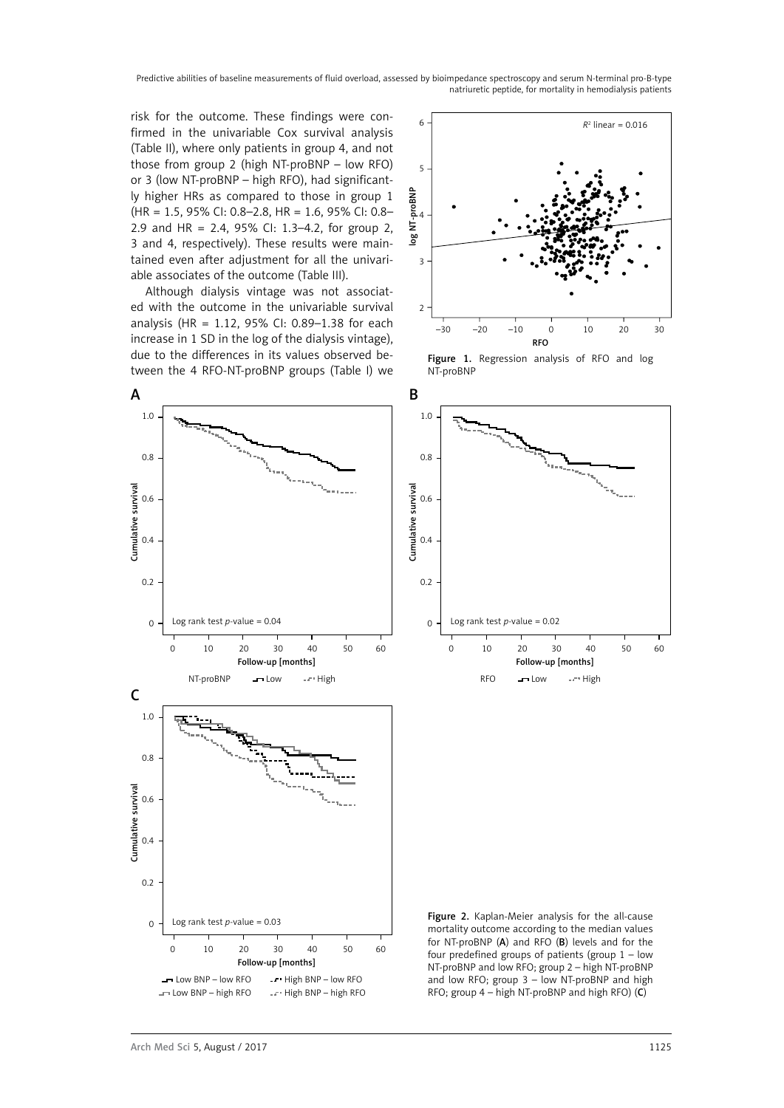risk for the outcome. These findings were confirmed in the univariable Cox survival analysis (Table II), where only patients in group 4, and not those from group 2 (high NT-proBNP – low RFO) or 3 (low NT-proBNP – high RFO), had significantly higher HRs as compared to those in group 1 (HR = 1.5, 95% CI: 0.8–2.8, HR = 1.6, 95% CI: 0.8– 2.9 and HR = 2.4, 95% CI: 1.3–4.2, for group 2, 3 and 4, respectively). These results were maintained even after adjustment for all the univariable associates of the outcome (Table III).

Although dialysis vintage was not associated with the outcome in the univariable survival analysis (HR = 1.12, 95% CI: 0.89–1.38 for each increase in 1 SD in the log of the dialysis vintage), due to the differences in its values observed between the 4 RFO-NT-proBNP groups (Table I) we



Figure 1. Regression analysis of RFO and log NT-proBNP

0 10 20 30 40 50 60 Follow-up [months] RFO **-**Low - - High



Figure 2. Kaplan-Meier analysis for the all-cause mortality outcome according to the median values for NT-proBNP (A) and RFO (B) levels and for the four predefined groups of patients (group 1 – low NT-proBNP and low RFO; group 2 – high NT-proBNP and low RFO; group 3 – low NT-proBNP and high RFO; group 4 – high NT-proBNP and high RFO) (C)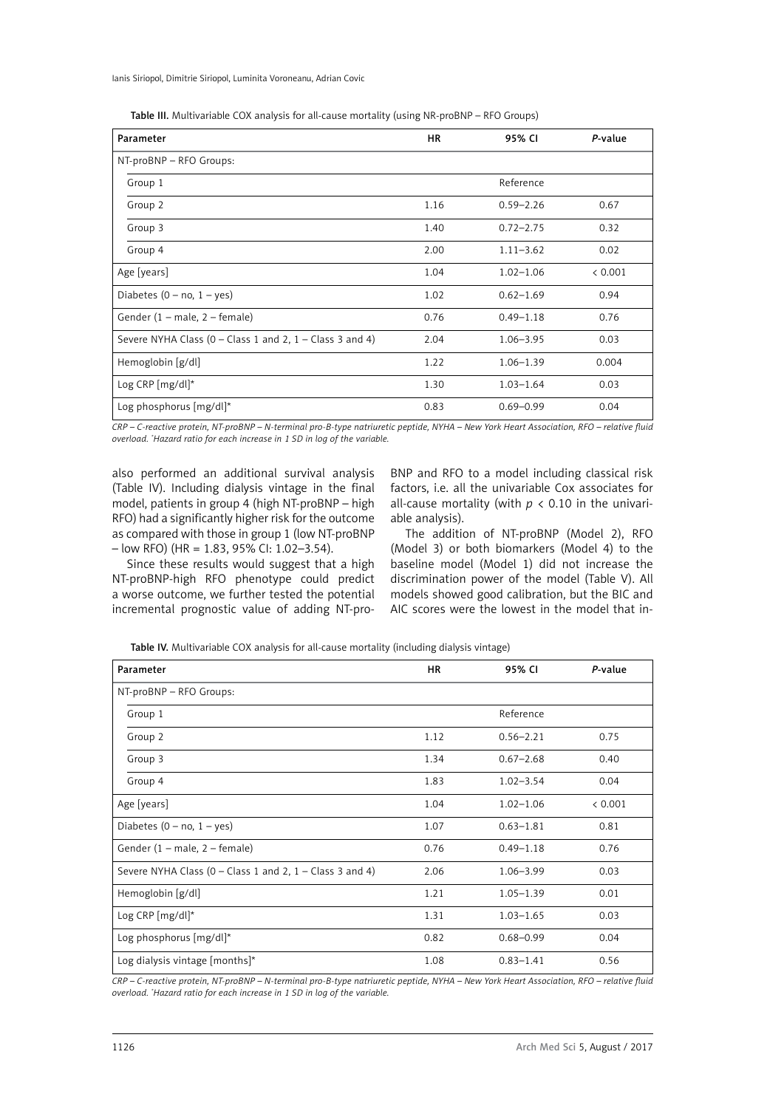Table III. Multivariable COX analysis for all-cause mortality (using NR-proBNP – RFO Groups)

| Parameter                                                    | <b>HR</b> | 95% CI        | P-value |
|--------------------------------------------------------------|-----------|---------------|---------|
| NT-proBNP - RFO Groups:                                      |           |               |         |
| Group 1                                                      |           | Reference     |         |
| Group 2                                                      | 1.16      | $0.59 - 2.26$ | 0.67    |
| Group 3                                                      | 1.40      | $0.72 - 2.75$ | 0.32    |
| Group 4                                                      | 2.00      | $1.11 - 3.62$ | 0.02    |
| Age [years]                                                  | 1.04      | $1.02 - 1.06$ | < 0.001 |
| Diabetes $(0 - no, 1 - yes)$                                 | 1.02      | $0.62 - 1.69$ | 0.94    |
| Gender $(1 - male, 2 - female)$                              | 0.76      | $0.49 - 1.18$ | 0.76    |
| Severe NYHA Class $(0 - Class 1$ and 2, $1 - Class 3$ and 4) | 2.04      | $1.06 - 3.95$ | 0.03    |
| Hemoglobin [g/dl]                                            | 1.22      | $1.06 - 1.39$ | 0.004   |
| Log CRP $[mg/dl]^*$                                          | 1.30      | $1.03 - 1.64$ | 0.03    |
| Log phosphorus [mg/dl]*                                      | 0.83      | $0.69 - 0.99$ | 0.04    |

*CRP – C-reactive protein, NT-proBNP – N-terminal pro-B-type natriuretic peptide, NYHA – New York Heart Association, RFO – relative fluid overload. \* Hazard ratio for each increase in 1 SD in log of the variable.*

also performed an additional survival analysis (Table IV). Including dialysis vintage in the final model, patients in group 4 (high NT-proBNP – high RFO) had a significantly higher risk for the outcome as compared with those in group 1 (low NT-proBNP  $-$  low RFO) (HR = 1.83, 95% CI: 1.02-3.54).

Since these results would suggest that a high NT-proBNP-high RFO phenotype could predict a worse outcome, we further tested the potential incremental prognostic value of adding NT-proBNP and RFO to a model including classical risk factors, i.e. all the univariable Cox associates for all-cause mortality (with  $p < 0.10$  in the univariable analysis).

The addition of NT-proBNP (Model 2), RFO (Model 3) or both biomarkers (Model 4) to the baseline model (Model 1) did not increase the discrimination power of the model (Table V). All models showed good calibration, but the BIC and AIC scores were the lowest in the model that in-

Table IV. Multivariable COX analysis for all-cause mortality (including dialysis vintage)

| Parameter                                                    | HR   | 95% CI        | P-value |
|--------------------------------------------------------------|------|---------------|---------|
| NT-proBNP - RFO Groups:                                      |      |               |         |
| Group 1                                                      |      | Reference     |         |
| Group 2                                                      | 1.12 | $0.56 - 2.21$ | 0.75    |
| Group 3                                                      | 1.34 | $0.67 - 2.68$ | 0.40    |
| Group 4                                                      | 1.83 | $1.02 - 3.54$ | 0.04    |
| Age [years]                                                  | 1.04 | $1.02 - 1.06$ | < 0.001 |
| Diabetes $(0 - no, 1 - yes)$                                 | 1.07 | $0.63 - 1.81$ | 0.81    |
| Gender $(1 - male, 2 - female)$                              | 0.76 | $0.49 - 1.18$ | 0.76    |
| Severe NYHA Class $(0 - Class 1$ and 2, $1 - Class 3$ and 4) | 2.06 | $1.06 - 3.99$ | 0.03    |
| Hemoglobin [g/dl]                                            | 1.21 | $1.05 - 1.39$ | 0.01    |
| Log CRP $[mg/dl]^*$                                          | 1.31 | $1.03 - 1.65$ | 0.03    |
| Log phosphorus [mg/dl]*                                      | 0.82 | $0.68 - 0.99$ | 0.04    |
| Log dialysis vintage [months]*                               | 1.08 | $0.83 - 1.41$ | 0.56    |

*CRP – C-reactive protein, NT-proBNP – N-terminal pro-B-type natriuretic peptide, NYHA – New York Heart Association, RFO – relative fluid overload. \* Hazard ratio for each increase in 1 SD in log of the variable.*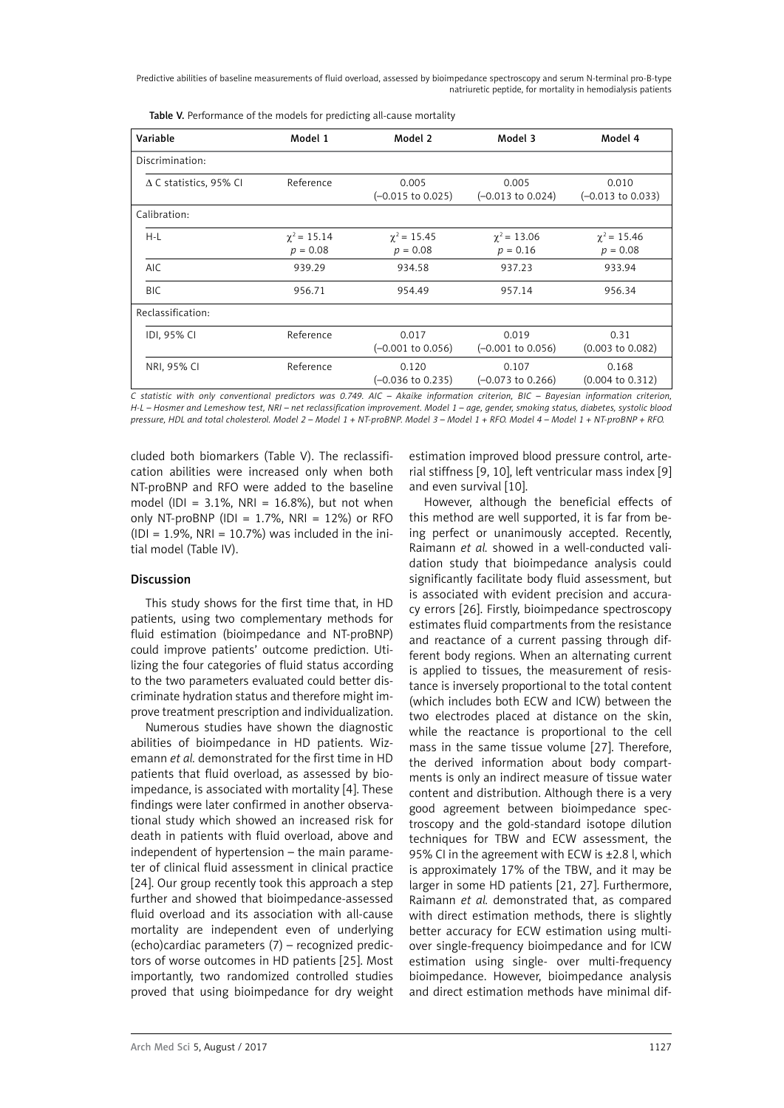Table V. Performance of the models for predicting all-cause mortality

| Variable                      | Model 1                        | Model 2                               | Model 3                               | Model 4                               |
|-------------------------------|--------------------------------|---------------------------------------|---------------------------------------|---------------------------------------|
| Discrimination:               |                                |                                       |                                       |                                       |
| $\Delta$ C statistics, 95% CI | Reference                      | 0.005<br>$(-0.015$ to 0.025)          | 0.005<br>$(-0.013 \text{ to } 0.024)$ | 0.010<br>$(-0.013 \text{ to } 0.033)$ |
| Calibration:                  |                                |                                       |                                       |                                       |
| H-L                           | $\chi^2$ = 15.14<br>$p = 0.08$ | $\chi^2$ = 15.45<br>$p = 0.08$        | $\chi^2$ = 13.06<br>$p = 0.16$        | $\chi^2$ = 15.46<br>$p = 0.08$        |
| AIC                           | 939.29                         | 934.58                                | 937.23                                | 933.94                                |
| <b>BIC</b>                    | 956.71                         | 954.49                                | 957.14                                | 956.34                                |
| Reclassification:             |                                |                                       |                                       |                                       |
| IDI, 95% CI                   | Reference                      | 0.017<br>$(-0.001$ to 0.056)          | 0.019<br>$(-0.001$ to 0.056)          | 0.31<br>$(0.003 \text{ to } 0.082)$   |
| NRI, 95% CI                   | Reference                      | 0.120<br>$(-0.036 \text{ to } 0.235)$ | 0.107<br>$(-0.073 \text{ to } 0.266)$ | 0.168<br>$(0.004 \text{ to } 0.312)$  |

*C statistic with only conventional predictors was 0.749. AIC – Akaike information criterion, BIC – Bayesian information criterion, H-L – Hosmer and Lemeshow test, NRI – net reclassification improvement. Model 1 – age, gender, smoking status, diabetes, systolic blood pressure, HDL and total cholesterol. Model 2 – Model 1 + NT-proBNP. Model 3 – Model 1 + RFO. Model 4 – Model 1 + NT-proBNP + RFO.*

cluded both biomarkers (Table V). The reclassification abilities were increased only when both NT-proBNP and RFO were added to the baseline model (IDI =  $3.1\%$ , NRI =  $16.8\%$ ), but not when only NT-proBNP (IDI =  $1.7\%$ , NRI =  $12\%$ ) or RFO  $(IDI = 1.9\%, NRI = 10.7\%)$  was included in the initial model (Table IV).

## Discussion

This study shows for the first time that, in HD patients, using two complementary methods for fluid estimation (bioimpedance and NT-proBNP) could improve patients' outcome prediction. Utilizing the four categories of fluid status according to the two parameters evaluated could better discriminate hydration status and therefore might improve treatment prescription and individualization.

Numerous studies have shown the diagnostic abilities of bioimpedance in HD patients. Wizemann *et al.* demonstrated for the first time in HD patients that fluid overload, as assessed by bioimpedance, is associated with mortality [4]. These findings were later confirmed in another observational study which showed an increased risk for death in patients with fluid overload, above and independent of hypertension – the main parameter of clinical fluid assessment in clinical practice [24]. Our group recently took this approach a step further and showed that bioimpedance-assessed fluid overload and its association with all-cause mortality are independent even of underlying (echo)cardiac parameters (7) – recognized predictors of worse outcomes in HD patients [25]. Most importantly, two randomized controlled studies proved that using bioimpedance for dry weight

estimation improved blood pressure control, arterial stiffness [9, 10], left ventricular mass index [9] and even survival [10].

However, although the beneficial effects of this method are well supported, it is far from being perfect or unanimously accepted. Recently, Raimann *et al.* showed in a well-conducted validation study that bioimpedance analysis could significantly facilitate body fluid assessment, but is associated with evident precision and accuracy errors [26]. Firstly, bioimpedance spectroscopy estimates fluid compartments from the resistance and reactance of a current passing through different body regions. When an alternating current is applied to tissues, the measurement of resistance is inversely proportional to the total content (which includes both ECW and ICW) between the two electrodes placed at distance on the skin, while the reactance is proportional to the cell mass in the same tissue volume [27]. Therefore, the derived information about body compartments is only an indirect measure of tissue water content and distribution. Although there is a very good agreement between bioimpedance spectroscopy and the gold-standard isotope dilution techniques for TBW and ECW assessment, the 95% CI in the agreement with ECW is ±2.8 l, which is approximately 17% of the TBW, and it may be larger in some HD patients [21, 27]. Furthermore, Raimann *et al.* demonstrated that, as compared with direct estimation methods, there is slightly better accuracy for ECW estimation using multiover single-frequency bioimpedance and for ICW estimation using single- over multi-frequency bioimpedance. However, bioimpedance analysis and direct estimation methods have minimal dif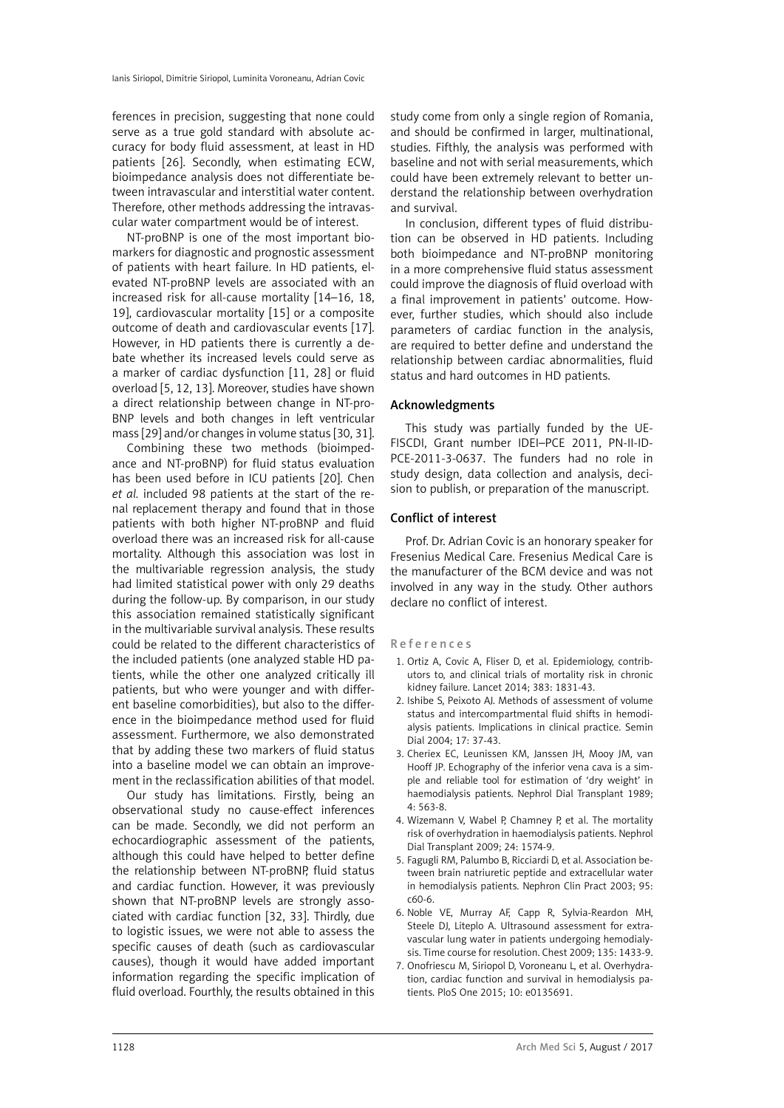ferences in precision, suggesting that none could serve as a true gold standard with absolute accuracy for body fluid assessment, at least in HD patients [26]. Secondly, when estimating ECW, bioimpedance analysis does not differentiate between intravascular and interstitial water content. Therefore, other methods addressing the intravascular water compartment would be of interest.

NT-proBNP is one of the most important biomarkers for diagnostic and prognostic assessment of patients with heart failure. In HD patients, elevated NT-proBNP levels are associated with an increased risk for all-cause mortality [14–16, 18, 19], cardiovascular mortality [15] or a composite outcome of death and cardiovascular events [17]. However, in HD patients there is currently a debate whether its increased levels could serve as a marker of cardiac dysfunction [11, 28] or fluid overload [5, 12, 13]. Moreover, studies have shown a direct relationship between change in NT-pro-BNP levels and both changes in left ventricular mass [29] and/or changes in volume status [30, 31].

Combining these two methods (bioimpedance and NT-proBNP) for fluid status evaluation has been used before in ICU patients [20]. Chen *et al.* included 98 patients at the start of the renal replacement therapy and found that in those patients with both higher NT-proBNP and fluid overload there was an increased risk for all-cause mortality. Although this association was lost in the multivariable regression analysis, the study had limited statistical power with only 29 deaths during the follow-up. By comparison, in our study this association remained statistically significant in the multivariable survival analysis. These results could be related to the different characteristics of the included patients (one analyzed stable HD patients, while the other one analyzed critically ill patients, but who were younger and with different baseline comorbidities), but also to the difference in the bioimpedance method used for fluid assessment. Furthermore, we also demonstrated that by adding these two markers of fluid status into a baseline model we can obtain an improvement in the reclassification abilities of that model.

Our study has limitations. Firstly, being an observational study no cause-effect inferences can be made. Secondly, we did not perform an echocardiographic assessment of the patients, although this could have helped to better define the relationship between NT-proBNP, fluid status and cardiac function. However, it was previously shown that NT-proBNP levels are strongly associated with cardiac function [32, 33]. Thirdly, due to logistic issues, we were not able to assess the specific causes of death (such as cardiovascular causes), though it would have added important information regarding the specific implication of fluid overload. Fourthly, the results obtained in this

study come from only a single region of Romania, and should be confirmed in larger, multinational, studies. Fifthly, the analysis was performed with baseline and not with serial measurements, which could have been extremely relevant to better understand the relationship between overhydration and survival.

In conclusion, different types of fluid distribution can be observed in HD patients. Including both bioimpedance and NT-proBNP monitoring in a more comprehensive fluid status assessment could improve the diagnosis of fluid overload with a final improvement in patients' outcome. However, further studies, which should also include parameters of cardiac function in the analysis, are required to better define and understand the relationship between cardiac abnormalities, fluid status and hard outcomes in HD patients.

#### Acknowledgments

This study was partially funded by the UE-FISCDI, Grant number IDEI–PCE 2011, PN-II-ID-PCE-2011-3-0637. The funders had no role in study design, data collection and analysis, decision to publish, or preparation of the manuscript.

## Conflict of interest

Prof. Dr. Adrian Covic is an honorary speaker for Fresenius Medical Care. Fresenius Medical Care is the manufacturer of the BCM device and was not involved in any way in the study. Other authors declare no conflict of interest.

#### References

- 1. Ortiz A, Covic A, Fliser D, et al. Epidemiology, contributors to, and clinical trials of mortality risk in chronic kidney failure. Lancet 2014; 383: 1831-43.
- 2. Ishibe S, Peixoto AJ. Methods of assessment of volume status and intercompartmental fluid shifts in hemodialysis patients. Implications in clinical practice. Semin Dial 2004; 17: 37-43.
- 3. Cheriex EC, Leunissen KM, Janssen JH, Mooy JM, van Hooff JP. Echography of the inferior vena cava is a simple and reliable tool for estimation of 'dry weight' in haemodialysis patients. Nephrol Dial Transplant 1989; 4: 563-8.
- 4. Wizemann V, Wabel P, Chamney P, et al. The mortality risk of overhydration in haemodialysis patients. Nephrol Dial Transplant 2009; 24: 1574-9.
- 5. Fagugli RM, Palumbo B, Ricciardi D, et al. Association between brain natriuretic peptide and extracellular water in hemodialysis patients. Nephron Clin Pract 2003; 95: c60-6.
- 6. Noble VE, Murray AF, Capp R, Sylvia-Reardon MH, Steele DJ, Liteplo A. Ultrasound assessment for extravascular lung water in patients undergoing hemodialysis. Time course for resolution. Chest 2009; 135: 1433-9.
- 7. Onofriescu M, Siriopol D, Voroneanu L, et al. Overhydration, cardiac function and survival in hemodialysis patients. PloS One 2015; 10: e0135691.